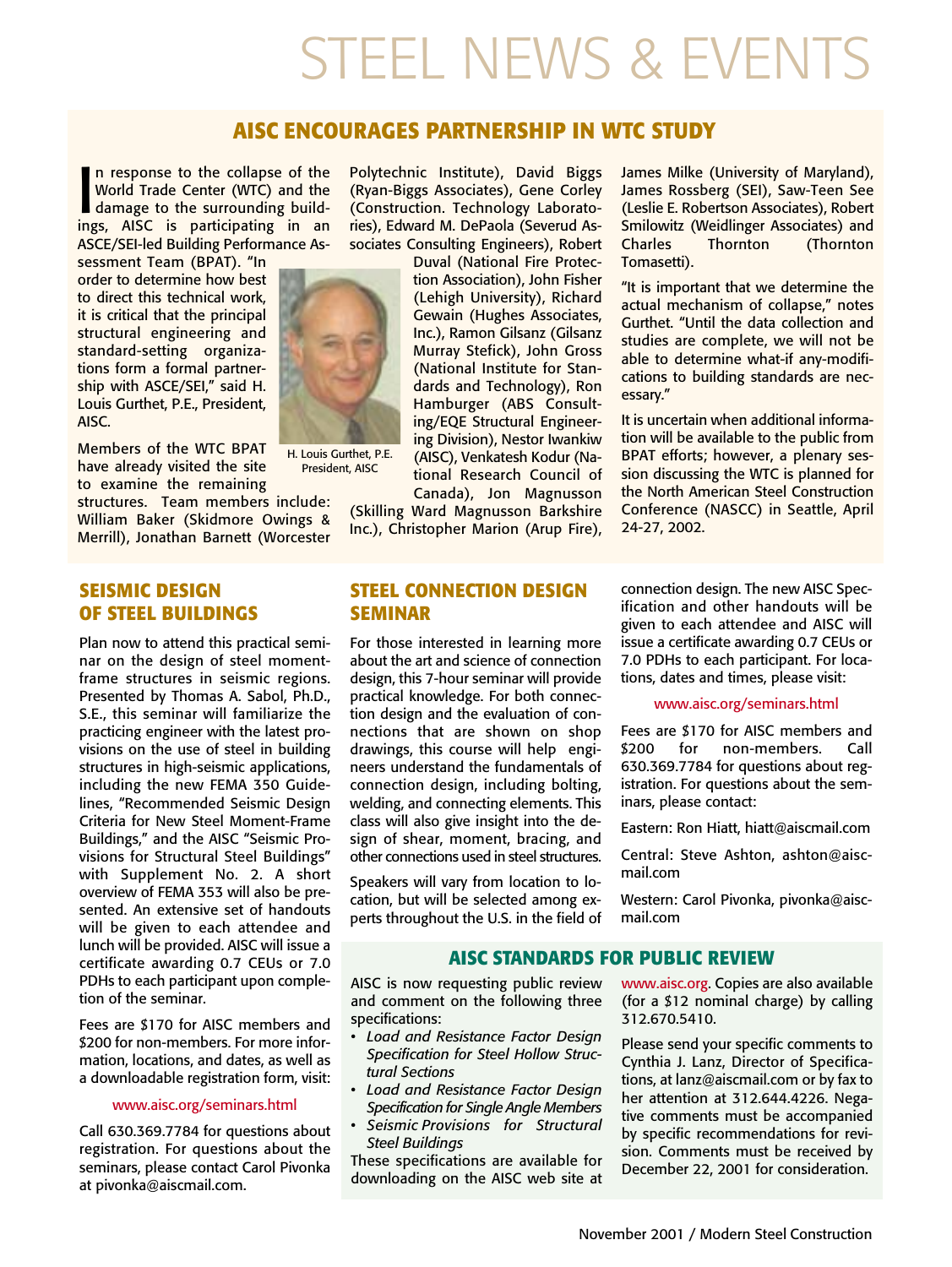# STEEL NEWS & EVENTS

## **AISC ENCOURAGES PARTNERSHIP IN WTC STUDY**

In response to the collapse of the<br>World Trade Center (WTC) and the<br>damage to the surrounding build-<br>ings. AISC is participating in an n response to the collapse of the World Trade Center (WTC) and the ings, AISC is participating in an ASCE/SEI-led Building Performance As-

sessment Team (BPAT). "In order to determine how best to direct this technical work, it is critical that the principal structural engineering and standard-setting organizations form a formal partnership with ASCE/SEI," said H. Louis Gurthet, P.E., President, AISC.

Members of the WTC BPAT have already visited the site to examine the remaining

structures. Team members include: William Baker (Skidmore Owings & Merrill), Jonathan Barnett (Worcester

### **SEISMIC DESIGN OF STEEL BUILDINGS**

Plan now to attend this practical seminar on the design of steel momentframe structures in seismic regions. Presented by Thomas A. Sabol, Ph.D., S.E., this seminar will familiarize the practicing engineer with the latest provisions on the use of steel in building structures in high-seismic applications, including the new FEMA 350 Guidelines, "Recommended Seismic Design Criteria for New Steel Moment-Frame Buildings," and the AISC "Seismic Provisions for Structural Steel Buildings" with Supplement No. 2. A short overview of FEMA 353 will also be presented. An extensive set of handouts will be given to each attendee and lunch will be provided. AISC will issue a certificate awarding 0.7 CEUs or 7.0 PDHs to each participant upon completion of the seminar.

Fees are \$170 for AISC members and \$200 for non-members. For more information, locations, and dates, as well as a downloadable registration form, visit:

#### www.aisc.org/seminars.html

Call 630.369.7784 for questions about registration. For questions about the seminars, please contact Carol Pivonka at pivonka@aiscmail.com.

Polytechnic Institute), David Biggs (Ryan-Biggs Associates), Gene Corley (Construction. Technology Laboratories), Edward M. DePaola (Severud Associates Consulting Engineers), Robert

> Duval (National Fire Protection Association), John Fisher (Lehigh University), Richard Gewain (Hughes Associates, Inc.), Ramon Gilsanz (Gilsanz Murray Stefick), John Gross (National Institute for Standards and Technology), Ron Hamburger (ABS Consulting/EQE Structural Engineering Division), Nestor Iwankiw (AISC), Venkatesh Kodur (National Research Council of Canada), Jon Magnusson

(Skilling Ward Magnusson Barkshire Inc.), Christopher Marion (Arup Fire),

**STEEL CONNECTION DESIGN**

For those interested in learning more about the art and science of connection design, this 7-hour seminar will provide practical knowledge. For both connection design and the evaluation of connections that are shown on shop drawings, this course will help engineers understand the fundamentals of connection design, including bolting, welding, and connecting elements. This class will also give insight into the design of shear, moment, bracing, and other connections used in steel structures. Speakers will vary from location to location, but will be selected among experts throughout the U.S. in the field of

James Milke (University of Maryland), James Rossberg (SEI), Saw-Teen See (Leslie E. Robertson Associates), Robert Smilowitz (Weidlinger Associates) and Charles Thornton (Thornton Tomasetti).

"It is important that we determine the actual mechanism of collapse," notes Gurthet. "Until the data collection and studies are complete, we will not be able to determine what-if any-modifications to building standards are necessary."

It is uncertain when additional information will be available to the public from BPAT efforts; however, a plenary session discussing the WTC is planned for the North American Steel Construction Conference (NASCC) in Seattle, April 24-27, 2002.

connection design. The new AISC Specification and other handouts will be given to each attendee and AISC will issue a certificate awarding 0.7 CEUs or 7.0 PDHs to each participant. For locations, dates and times, please visit:

#### www.aisc.org/seminars.html

Fees are \$170 for AISC members and \$200 for non-members. Call 630.369.7784 for questions about registration. For questions about the seminars, please contact:

Eastern: Ron Hiatt, hiatt@aiscmail.com

Central: Steve Ashton, ashton@aiscmail.com

Western: Carol Pivonka, pivonka@aiscmail.com

### **AISC STANDARDS FOR PUBLIC REVIEW**

AISC is now requesting public review and comment on the following three specifications:

- *Load and Resistance Factor Design Specification for Steel Hollow Structural Sections*
- *Load and Resistance Factor Design Specification for Single Angle Members*
- *Seismic Provisions for Structural Steel Buildings*

These specifications are available for downloading on the AISC web site at www.aisc.org. Copies are also available (for a \$12 nominal charge) by calling 312.670.5410.

Please send your specific comments to Cynthia J. Lanz, Director of Specifications, at lanz@aiscmail.com or by fax to her attention at 312.644.4226. Negative comments must be accompanied by specific recommendations for revision. Comments must be received by December 22, 2001 for consideration.



President, AISC

**SEMINAR**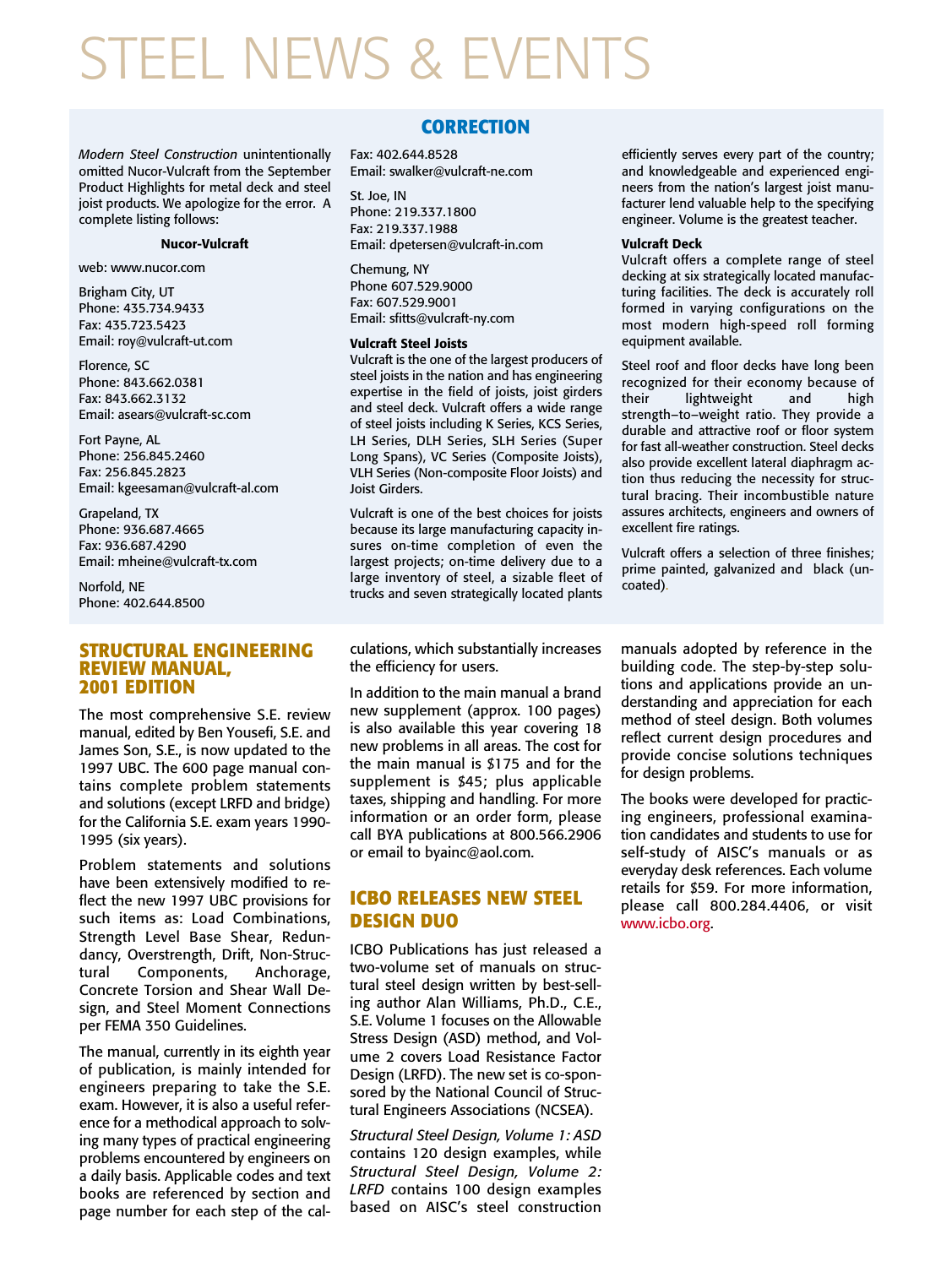# STEEL NEWS & EVENTS

*Modern Steel Construction* unintentionally omitted Nucor-Vulcraft from the September Product Highlights for metal deck and steel joist products. We apologize for the error. A complete listing follows:

#### **Nucor-Vulcraft**

web: www.nucor.com

Brigham City, UT Phone: 435.734.9433 Fax: 435.723.5423 Email: roy@vulcraft-ut.com

Florence, SC Phone: 843.662.0381 Fax: 843.662.3132 Email: asears@vulcraft-sc.com

Fort Payne, AL Phone: 256.845.2460 Fax: 256.845.2823 Email: kgeesaman@vulcraft-al.com

Grapeland, TX Phone: 936.687.4665 Fax: 936.687.4290 Email: mheine@vulcraft-tx.com

Norfold, NE Phone: 402.644.8500

#### **STRUCTURAL ENGINEERING REVIEW MANUAL, 2001 EDITION**

The most comprehensive S.E. review manual, edited by Ben Yousefi, S.E. and James Son, S.E., is now updated to the 1997 UBC. The 600 page manual contains complete problem statements and solutions (except LRFD and bridge) for the California S.E. exam years 1990- 1995 (six years).

Problem statements and solutions have been extensively modified to reflect the new 1997 UBC provisions for such items as: Load Combinations, Strength Level Base Shear, Redundancy, Overstrength, Drift, Non-Structural Components, Anchorage, Concrete Torsion and Shear Wall Design, and Steel Moment Connections per FEMA 350 Guidelines.

The manual, currently in its eighth year of publication, is mainly intended for engineers preparing to take the S.E. exam. However, it is also a useful reference for a methodical approach to solving many types of practical engineering problems encountered by engineers on a daily basis. Applicable codes and text books are referenced by section and page number for each step of the cal-

#### **CORRECTION**

Fax: 402.644.8528 Email: swalker@vulcraft-ne.com

St. Joe, IN Phone: 219.337.1800 Fax: 219.337.1988 Email: dpetersen@vulcraft-in.com

Chemung, NY Phone 607.529.9000 Fax: 607.529.9001 Email: sfitts@vulcraft-ny.com

#### **Vulcraft Steel Joists**

Vulcraft is the one of the largest producers of steel joists in the nation and has engineering expertise in the field of joists, joist girders and steel deck. Vulcraft offers a wide range of steel joists including K Series, KCS Series, LH Series, DLH Series, SLH Series (Super Long Spans), VC Series (Composite Joists), VLH Series (Non-composite Floor Joists) and Joist Girders.

Vulcraft is one of the best choices for joists because its large manufacturing capacity insures on-time completion of even the largest projects; on-time delivery due to a large inventory of steel, a sizable fleet of trucks and seven strategically located plants

efficiently serves every part of the country; and knowledgeable and experienced engineers from the nation's largest joist manufacturer lend valuable help to the specifying engineer. Volume is the greatest teacher.

#### **Vulcraft Deck**

Vulcraft offers a complete range of steel decking at six strategically located manufacturing facilities. The deck is accurately roll formed in varying configurations on the most modern high-speed roll forming equipment available.

Steel roof and floor decks have long been recognized for their economy because of<br>their lightweight and high lightweight and high strength–to–weight ratio. They provide a durable and attractive roof or floor system for fast all-weather construction. Steel decks also provide excellent lateral diaphragm action thus reducing the necessity for structural bracing. Their incombustible nature assures architects, engineers and owners of excellent fire ratings.

Vulcraft offers a selection of three finishes; prime painted, galvanized and black (uncoated).

culations, which substantially increases the efficiency for users.

In addition to the main manual a brand new supplement (approx. 100 pages) is also available this year covering 18 new problems in all areas. The cost for the main manual is \$175 and for the supplement is \$45; plus applicable taxes, shipping and handling. For more information or an order form, please call BYA publications at 800.566.2906 or email to byainc@aol.com.

### **ICBO RELEASES NEW STEEL DESIGN DUO**

ICBO Publications has just released a two-volume set of manuals on structural steel design written by best-selling author Alan Williams, Ph.D., C.E., S.E. Volume 1 focuses on the Allowable Stress Design (ASD) method, and Volume 2 covers Load Resistance Factor Design (LRFD). The new set is co-sponsored by the National Council of Structural Engineers Associations (NCSEA).

*Structural Steel Design, Volume 1: ASD* contains 120 design examples, while *Structural Steel Design, Volume 2: LRFD* contains 100 design examples based on AISC's steel construction

manuals adopted by reference in the building code. The step-by-step solutions and applications provide an understanding and appreciation for each method of steel design. Both volumes reflect current design procedures and provide concise solutions techniques for design problems.

The books were developed for practicing engineers, professional examination candidates and students to use for self-study of AISC's manuals or as everyday desk references. Each volume retails for \$59. For more information, please call 800.284.4406, or visit www.icbo.org.